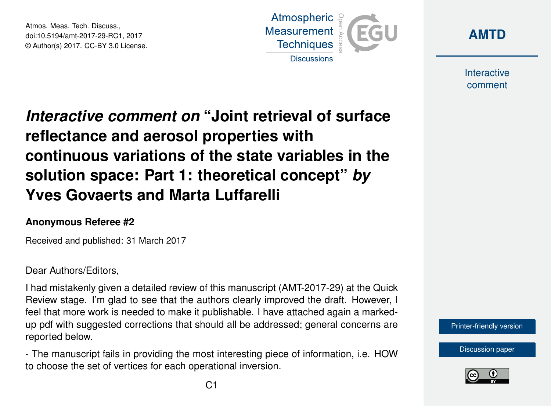Atmos. Meas. Tech. Discuss., doi:10.5194/amt-2017-29-RC1, 2017 © Author(s) 2017. CC-BY 3.0 License.





Interactive comment

## *Interactive comment on* **"Joint retrieval of surface reflectance and aerosol properties with continuous variations of the state variables in the solution space: Part 1: theoretical concept"** *by* **Yves Govaerts and Marta Luffarelli**

## **Anonymous Referee #2**

Received and published: 31 March 2017

## Dear Authors/Editors,

I had mistakenly given a detailed review of this manuscript (AMT-2017-29) at the Quick Review stage. I'm glad to see that the authors clearly improved the draft. However, I feel that more work is needed to make it publishable. I have attached again a markedup pdf with suggested corrections that should all be addressed; general concerns are reported below.

- The manuscript fails in providing the most interesting piece of information, i.e. HOW to choose the set of vertices for each operational inversion.



[Discussion paper](http://www.atmos-meas-tech-discuss.net/amt-2017-29)